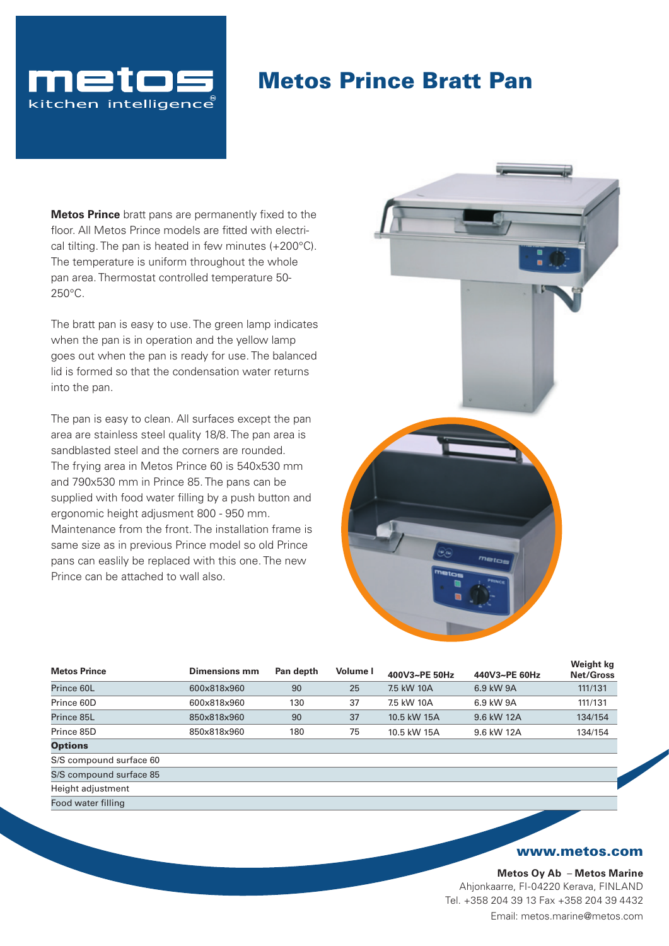

## Metos Prince Bratt Pan

**Metos Prince** bratt pans are permanently fixed to the floor. All Metos Prince models are fitted with electrical tilting. The pan is heated in few minutes (+200°C). The temperature is uniform throughout the whole pan area. Thermostat controlled temperature 50- 250°C.

The bratt pan is easy to use. The green lamp indicates when the pan is in operation and the yellow lamp goes out when the pan is ready for use. The balanced lid is formed so that the condensation water returns into the pan.

The pan is easy to clean. All surfaces except the pan area are stainless steel quality 18/8. The pan area is sandblasted steel and the corners are rounded. The frying area in Metos Prince 60 is 540x530 mm and 790x530 mm in Prince 85. The pans can be supplied with food water filling by a push button and ergonomic height adjusment 800 - 950 mm. Maintenance from the front. The installation frame is same size as in previous Prince model so old Prince pans can easlily be replaced with this one. The new Prince can be attached to wall also.



| <b>Metos Prince</b>     | Dimensions mm | Pan depth | <b>Volume I</b> | 400V3~PE 50Hz | 440V3~PE 60Hz | Weight kg<br><b>Net/Gross</b> |
|-------------------------|---------------|-----------|-----------------|---------------|---------------|-------------------------------|
| Prince 60L              | 600x818x960   | 90        | 25              | 7.5 kW 10A    | 6.9 kW 9A     | 111/131                       |
| Prince 60D              | 600x818x960   | 130       | 37              | 7.5 kW 10A    | 6.9 kW 9A     | 111/131                       |
| Prince 85L              | 850x818x960   | 90        | 37              | 10.5 kW 15A   | 9.6 kW 12A    | 134/154                       |
| Prince 85D              | 850x818x960   | 180       | 75              | 10.5 kW 15A   | 9.6 kW 12A    | 134/154                       |
| <b>Options</b>          |               |           |                 |               |               |                               |
| S/S compound surface 60 |               |           |                 |               |               |                               |

S/S compound surface 85

Height adjustment

Food water filling

## www.metos.com

**Metos Oy Ab** – **Metos Marine** Ahjonkaarre, FI-04220 Kerava, FINLAND Tel. +358 204 39 13 Fax +358 204 39 4432 Email: metos.marine@metos.com